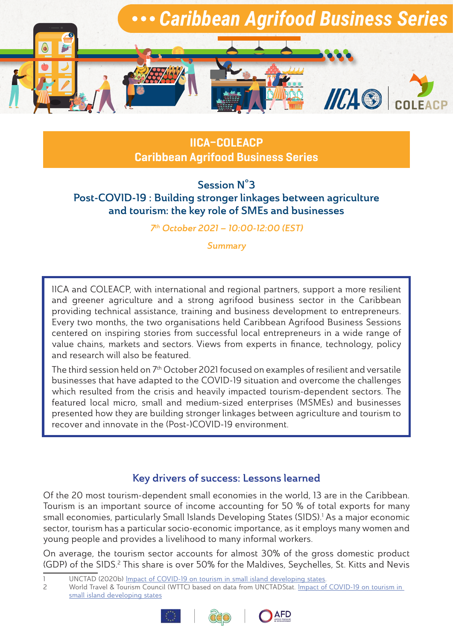

IICA–COLEACP Caribbean Agrifood Business Series

Session N°3 Post-COVID-19 : Building stronger linkages between agriculture and tourism: the key role of SMEs and businesses

7th October 2021 – 10:00-12:00 (EST)

**Summary** 

IICA and COLEACP, with international and regional partners, support a more resilient and greener agriculture and a strong agrifood business sector in the Caribbean providing technical assistance, training and business development to entrepreneurs. Every two months, the two organisations held Caribbean Agrifood Business Sessions centered on inspiring stories from successful local entrepreneurs in a wide range of value chains, markets and sectors. Views from experts in finance, technology, policy and research will also be featured.

The third session held on 7<sup>th</sup> October 2021 focused on examples of resilient and versatile businesses that have adapted to the COVID-19 situation and overcome the challenges which resulted from the crisis and heavily impacted tourism-dependent sectors. The featured local micro, small and medium-sized enterprises (MSMEs) and businesses presented how they are building stronger linkages between agriculture and tourism to recover and innovate in the (Post-)COVID-19 environment.

## Key drivers of success: Lessons learned

Of the 20 most tourism-dependent small economies in the world, 13 are in the Caribbean. Tourism is an important source of income accounting for 50 % of total exports for many small economies, particularly Small Islands Developing States (SIDS).1 As a major economic sector, tourism has a particular socio-economic importance, as it employs many women and young people and provides a livelihood to many informal workers.

On average, the tourism sector accounts for almost 30% of the gross domestic product (GDP) of the SIDS.<sup>2</sup> This share is over 50% for the Maldives, Seychelles, St. Kitts and Nevis

<sup>2</sup> World Travel & Tourism Council (WTTC) based on data from UNCTADStat. [Impact of COVID-19 on tourism in](https://unctad.org/news/impact-covid-19-tourism-small-island-developing-states)  [small island developing states](https://unctad.org/news/impact-covid-19-tourism-small-island-developing-states)





<sup>1</sup> UNCTAD (2020b) <u>[Impact of COVID-19 on tourism in small island developing states](https://unctad.org/news/impact-covid-19-tourism-small-island-developing-states)</u>.<br>2 World Travel & Tourism Council (WTTC) based on data from UNCTADStat. Impact of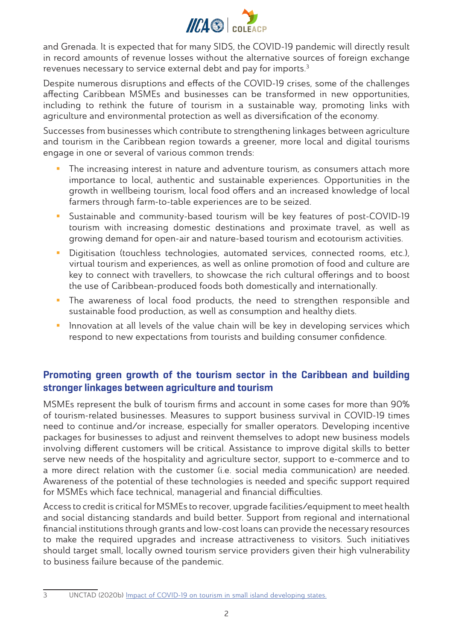

and Grenada. It is expected that for many SIDS, the COVID-19 pandemic will directly result in record amounts of revenue losses without the alternative sources of foreign exchange revenues necessary to service external debt and pay for imports.3

Despite numerous disruptions and effects of the COVID-19 crises, some of the challenges affecting Caribbean MSMEs and businesses can be transformed in new opportunities, including to rethink the future of tourism in a sustainable way, promoting links with agriculture and environmental protection as well as diversification of the economy.

Successes from businesses which contribute to strengthening linkages between agriculture and tourism in the Caribbean region towards a greener, more local and digital tourisms engage in one or several of various common trends:

- The increasing interest in nature and adventure tourism, as consumers attach more importance to local, authentic and sustainable experiences. Opportunities in the growth in wellbeing tourism, local food offers and an increased knowledge of local farmers through farm-to-table experiences are to be seized.
- Sustainable and community-based tourism will be key features of post-COVID-19 tourism with increasing domestic destinations and proximate travel, as well as growing demand for open-air and nature-based tourism and ecotourism activities.
- Digitisation (touchless technologies, automated services, connected rooms, etc.), virtual tourism and experiences, as well as online promotion of food and culture are key to connect with travellers, to showcase the rich cultural offerings and to boost the use of Caribbean-produced foods both domestically and internationally.
- **The awareness of local food products, the need to strengthen responsible and** sustainable food production, as well as consumption and healthy diets.
- **Innovation at all levels of the value chain will be key in developing services which** respond to new expectations from tourists and building consumer confidence.

# Promoting green growth of the tourism sector in the Caribbean and building stronger linkages between agriculture and tourism

MSMEs represent the bulk of tourism firms and account in some cases for more than 90% of tourism-related businesses. Measures to support business survival in COVID-19 times need to continue and/or increase, especially for smaller operators. Developing incentive packages for businesses to adjust and reinvent themselves to adopt new business models involving different customers will be critical. Assistance to improve digital skills to better serve new needs of the hospitality and agriculture sector, support to e-commerce and to a more direct relation with the customer (i.e. social media communication) are needed. Awareness of the potential of these technologies is needed and specific support required for MSMEs which face technical, managerial and financial difficulties.

Access to credit is critical for MSMEs to recover, upgrade facilities/equipment to meet health and social distancing standards and build better. Support from regional and international financial institutions through grants and low-cost loans can provide the necessary resources to make the required upgrades and increase attractiveness to visitors. Such initiatives should target small, locally owned tourism service providers given their high vulnerability to business failure because of the pandemic.

<sup>3</sup> UNCTAD (2020b) [Impact of COVID-19 on tourism in small island developing states.](https://unctad.org/news/impact-covid-19-tourism-small-island-developing-states)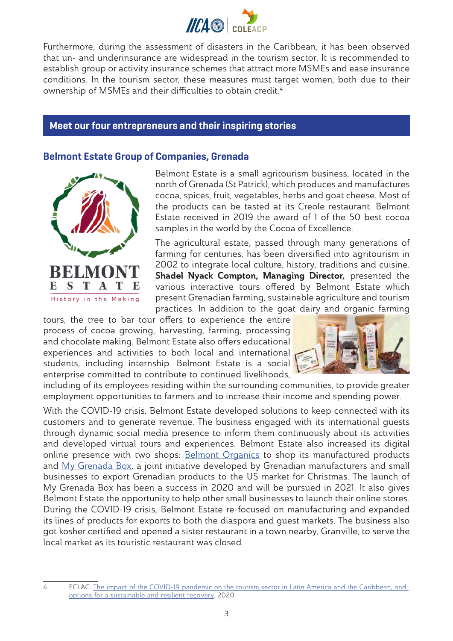

Furthermore, during the assessment of disasters in the Caribbean, it has been observed that un- and underinsurance are widespread in the tourism sector. It is recommended to establish group or activity insurance schemes that attract more MSMEs and ease insurance conditions. In the tourism sector, these measures must target women, both due to their ownership of MSMEs and their difficulties to obtain credit.<sup>4</sup>

#### Meet our four entrepreneurs and their inspiring stories

### Belmont Estate Group of Companies, Grenada



Belmont Estate is a small agritourism business, located in the north of Grenada (St Patrick), which produces and manufactures cocoa, spices, fruit, vegetables, herbs and goat cheese. Most of the products can be tasted at its Creole restaurant. Belmont Estate received in 2019 the award of 1 of the 50 best cocoa samples in the world by the Cocoa of Excellence.

The agricultural estate, passed through many generations of farming for centuries, has been diversified into agritourism in 2002 to integrate local culture, history, traditions and cuisine. Shadel Nyack Compton, Managing Director, presented the various interactive tours offered by Belmont Estate which present Grenadian farming, sustainable agriculture and tourism practices. In addition to the goat dairy and organic farming

tours, the tree to bar tour offers to experience the entire process of cocoa growing, harvesting, farming, processing and chocolate making. Belmont Estate also offers educational experiences and activities to both local and international students, including internship. Belmont Estate is a social enterprise committed to contribute to continued livelihoods,



including of its employees residing within the surrounding communities, to provide greater employment opportunities to farmers and to increase their income and spending power.

With the COVID-19 crisis, Belmont Estate developed solutions to keep connected with its customers and to generate revenue. The business engaged with its international guests through dynamic social media presence to inform them continuously about its activities and developed virtual tours and experiences. Belmont Estate also increased its digital online presence with two shops: [Belmont Organics](https://belmontorganics.com/) to shop its manufactured products and [My Grenada Box,](https://mygrenadabox.com/) a joint initiative developed by Grenadian manufacturers and small businesses to export Grenadian products to the US market for Christmas. The launch of My Grenada Box has been a success in 2020 and will be pursued in 2021. It also gives Belmont Estate the opportunity to help other small businesses to launch their online stores. During the COVID-19 crisis, Belmont Estate re-focused on manufacturing and expanded its lines of products for exports to both the diaspora and guest markets. The business also got kosher certified and opened a sister restaurant in a town nearby, Granville, to serve the local market as its touristic restaurant was closed.

<sup>4</sup> ECLAC. The impact of the COVID-19 pandemic on the tourism sector in Latin America and the Caribbean, and [options for a sustainable and resilient recovery](https://repositorio.cepal.org/bitstream/handle/11362/46502/3/S2000751_en.pdf). 2020.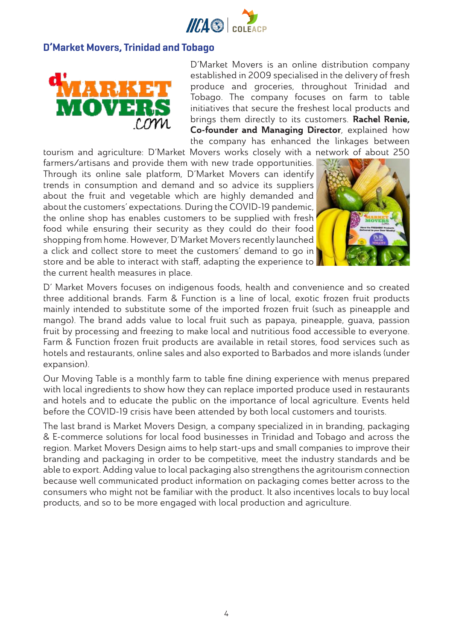

### D'Market Movers, Trinidad and Tobago



D'Market Movers is an online distribution company established in 2009 specialised in the delivery of fresh produce and groceries, throughout Trinidad and Tobago. The company focuses on farm to table initiatives that secure the freshest local products and brings them directly to its customers. Rachel Renie, Co-founder and Managing Director, explained how the company has enhanced the linkages between tourism and agriculture: D'Market Movers works closely with a network of about 250

farmers/artisans and provide them with new trade opportunities. Through its online sale platform, D'Market Movers can identify trends in consumption and demand and so advice its suppliers about the fruit and vegetable which are highly demanded and about the customers' expectations. During the COVID-19 pandemic, the online shop has enables customers to be supplied with fresh food while ensuring their security as they could do their food shopping from home. However, D'Market Movers recently launched a click and collect store to meet the customers' demand to go in store and be able to interact with staff, adapting the experience to the current health measures in place.



D' Market Movers focuses on indigenous foods, health and convenience and so created three additional brands. Farm & Function is a line of local, exotic frozen fruit products mainly intended to substitute some of the imported frozen fruit (such as pineapple and mango). The brand adds value to local fruit such as papaya, pineapple, guava, passion fruit by processing and freezing to make local and nutritious food accessible to everyone. Farm & Function frozen fruit products are available in retail stores, food services such as hotels and restaurants, online sales and also exported to Barbados and more islands (under expansion).

Our Moving Table is a monthly farm to table fine dining experience with menus prepared with local ingredients to show how they can replace imported produce used in restaurants and hotels and to educate the public on the importance of local agriculture. Events held before the COVID-19 crisis have been attended by both local customers and tourists.

The last brand is Market Movers Design, a company specialized in in branding, packaging & E-commerce solutions for local food businesses in Trinidad and Tobago and across the region. Market Movers Design aims to help start-ups and small companies to improve their branding and packaging in order to be competitive, meet the industry standards and be able to export. Adding value to local packaging also strengthens the agritourism connection because well communicated product information on packaging comes better across to the consumers who might not be familiar with the product. It also incentives locals to buy local products, and so to be more engaged with local production and agriculture.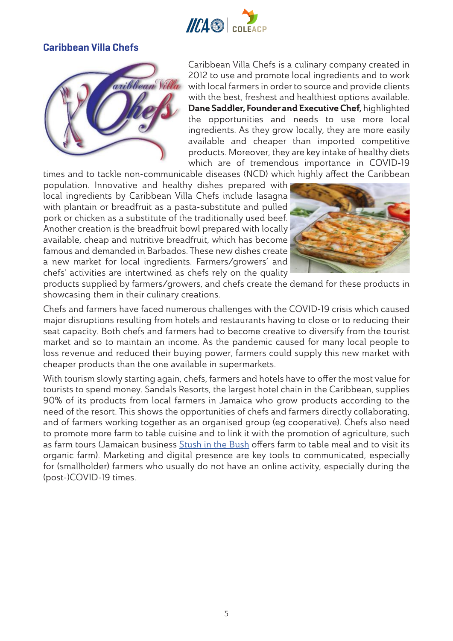

# Caribbean Villa Chefs



Caribbean Villa Chefs is a culinary company created in 2012 to use and promote local ingredients and to work with local farmers in order to source and provide clients with the best, freshest and healthiest options available. Dane Saddler, Founder and Executive Chef, highlighted the opportunities and needs to use more local ingredients. As they grow locally, they are more easily available and cheaper than imported competitive products. Moreover, they are key intake of healthy diets which are of tremendous importance in COVID-19

times and to tackle non-communicable diseases (NCD) which highly affect the Caribbean population. Innovative and healthy dishes prepared with local ingredients by Caribbean Villa Chefs include lasagna with plantain or breadfruit as a pasta-substitute and pulled pork or chicken as a substitute of the traditionally used beef. Another creation is the breadfruit bowl prepared with locally available, cheap and nutritive breadfruit, which has become famous and demanded in Barbados. These new dishes create a new market for local ingredients. Farmers/growers' and chefs' activities are intertwined as chefs rely on the quality



products supplied by farmers/growers, and chefs create the demand for these products in showcasing them in their culinary creations.

Chefs and farmers have faced numerous challenges with the COVID-19 crisis which caused major disruptions resulting from hotels and restaurants having to close or to reducing their seat capacity. Both chefs and farmers had to become creative to diversify from the tourist market and so to maintain an income. As the pandemic caused for many local people to loss revenue and reduced their buying power, farmers could supply this new market with cheaper products than the one available in supermarkets.

With tourism slowly starting again, chefs, farmers and hotels have to offer the most value for tourists to spend money. Sandals Resorts, the largest hotel chain in the Caribbean, supplies 90% of its products from local farmers in Jamaica who grow products according to the need of the resort. This shows the opportunities of chefs and farmers directly collaborating, and of farmers working together as an organised group (eg cooperative). Chefs also need to promote more farm to table cuisine and to link it with the promotion of agriculture, such as farm tours (Jamaican business [Stush in the Bush](http://stushinthebush.com/) offers farm to table meal and to visit its organic farm). Marketing and digital presence are key tools to communicated, especially for (smallholder) farmers who usually do not have an online activity, especially during the (post-)COVID-19 times.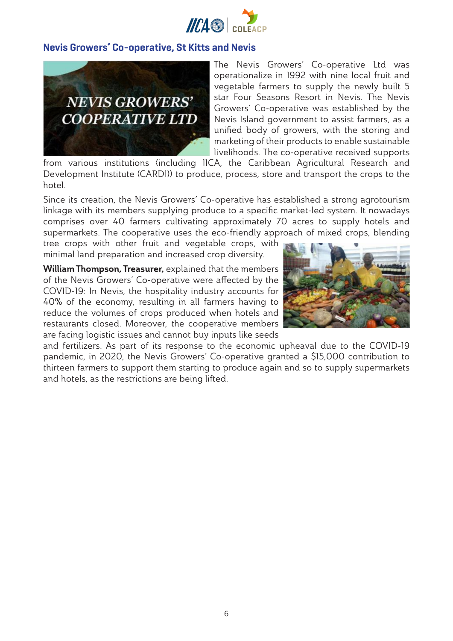

### Nevis Growers' Co-operative, St Kitts and Nevis



The Nevis Growers' Co-operative Ltd was operationalize in 1992 with nine local fruit and vegetable farmers to supply the newly built 5 star Four Seasons Resort in Nevis. The Nevis Growers' Co-operative was established by the Nevis Island government to assist farmers, as a unified body of growers, with the storing and marketing of their products to enable sustainable livelihoods. The co-operative received supports

from various institutions (including IICA, the Caribbean Agricultural Research and Development Institute (CARDI)) to produce, process, store and transport the crops to the hotel.

Since its creation, the Nevis Growers' Co-operative has established a strong agrotourism linkage with its members supplying produce to a specific market-led system. It nowadays comprises over 40 farmers cultivating approximately 70 acres to supply hotels and supermarkets. The cooperative uses the eco-friendly approach of mixed crops, blending

tree crops with other fruit and vegetable crops, with minimal land preparation and increased crop diversity.

William Thompson, Treasurer, explained that the members of the Nevis Growers' Co-operative were affected by the COVID-19: In Nevis, the hospitality industry accounts for 40% of the economy, resulting in all farmers having to reduce the volumes of crops produced when hotels and restaurants closed. Moreover, the cooperative members are facing logistic issues and cannot buy inputs like seeds



and fertilizers. As part of its response to the economic upheaval due to the COVID-19 pandemic, in 2020, the Nevis Growers' Co-operative granted a \$15,000 contribution to thirteen farmers to support them starting to produce again and so to supply supermarkets and hotels, as the restrictions are being lifted.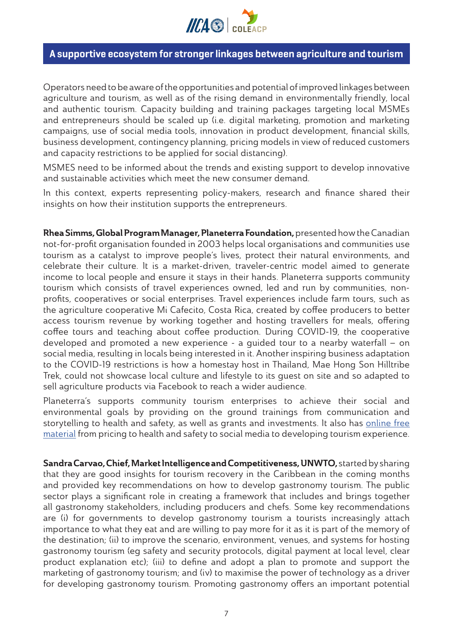

### A supportive ecosystem for stronger linkages between agriculture and tourism

Operators need to be aware of the opportunities and potential of improved linkages between agriculture and tourism, as well as of the rising demand in environmentally friendly, local and authentic tourism. Capacity building and training packages targeting local MSMEs and entrepreneurs should be scaled up (i.e. digital marketing, promotion and marketing campaigns, use of social media tools, innovation in product development, financial skills, business development, contingency planning, pricing models in view of reduced customers and capacity restrictions to be applied for social distancing).

MSMES need to be informed about the trends and existing support to develop innovative and sustainable activities which meet the new consumer demand.

In this context, experts representing policy-makers, research and finance shared their insights on how their institution supports the entrepreneurs.

Rhea Simms, Global Program Manager, Planeterra Foundation, presented how the Canadian not-for-profit organisation founded in 2003 helps local organisations and communities use tourism as a catalyst to improve people's lives, protect their natural environments, and celebrate their culture. It is a market-driven, traveler-centric model aimed to generate income to local people and ensure it stays in their hands. Planeterra supports community tourism which consists of travel experiences owned, led and run by communities, nonprofits, cooperatives or social enterprises. Travel experiences include farm tours, such as the agriculture cooperative Mi Cafecito, Costa Rica, created by coffee producers to better access tourism revenue by working together and hosting travellers for meals, offering coffee tours and teaching about coffee production. During COVID-19, the cooperative developed and promoted a new experience - a guided tour to a nearby waterfall – on social media, resulting in locals being interested in it. Another inspiring business adaptation to the COVID-19 restrictions is how a homestay host in Thailand, Mae Hong Son Hilltribe Trek, could not showcase local culture and lifestyle to its guest on site and so adapted to sell agriculture products via Facebook to reach a wider audience.

Planeterra's supports community tourism enterprises to achieve their social and environmental goals by providing on the ground trainings from communication and storytelling to health and safety, as well as grants and investments. It also has online free [material](https://planeterra.org/community-tourism/) from pricing to health and safety to social media to developing tourism experience.

Sandra Carvao, Chief, Market Intelligence and Competitiveness, UNWTO, started by sharing that they are good insights for tourism recovery in the Caribbean in the coming months and provided key recommendations on how to develop gastronomy tourism. The public sector plays a significant role in creating a framework that includes and brings together all gastronomy stakeholders, including producers and chefs. Some key recommendations are (i) for governments to develop gastronomy tourism a tourists increasingly attach importance to what they eat and are willing to pay more for it as it is part of the memory of the destination; (ii) to improve the scenario, environment, venues, and systems for hosting gastronomy tourism (eg safety and security protocols, digital payment at local level, clear product explanation etc); (iii) to define and adopt a plan to promote and support the marketing of gastronomy tourism; and (iv) to maximise the power of technology as a driver for developing gastronomy tourism. Promoting gastronomy offers an important potential